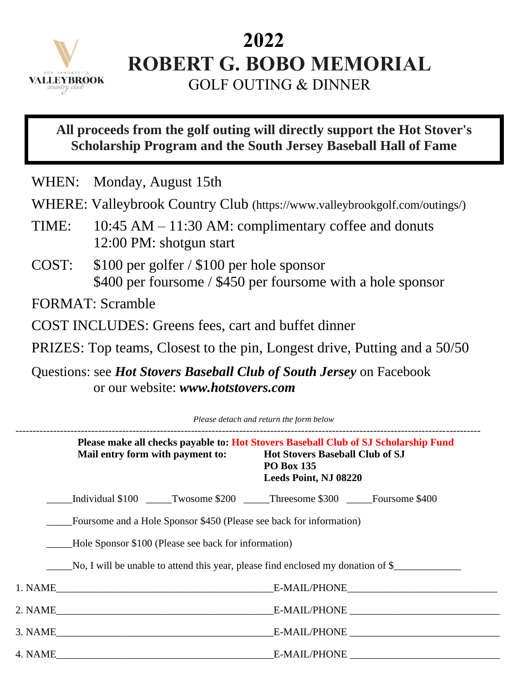

## **2022 ROBERT G. BOBO MEMORIAL**

GOLF OUTING & DINNER

## **All proceeds from the golf outing will directly support the Hot Stover's Scholarship Program and the South Jersey Baseball Hall of Fame**

WHEN: Monday, August 15th

- WHERE: Valleybrook Country Club (https://www.valleybrookgolf.com/outings/)
- TIME: 10:45 AM 11:30 AM: complimentary coffee and donuts 12:00 PM: shotgun start
- COST: \$100 per golfer / \$100 per hole sponsor \$400 per foursome / \$450 per foursome with a hole sponsor

FORMAT: Scramble

COST INCLUDES: Greens fees, cart and buffet dinner

PRIZES: Top teams, Closest to the pin, Longest drive, Putting and a 50/50

Questions: see *Hot Stovers Baseball Club of South Jersey* on Facebook or our website: *www.hotstovers.com*

| Please detach and return the form below |                                                                     |                                                                                                                                                                             |
|-----------------------------------------|---------------------------------------------------------------------|-----------------------------------------------------------------------------------------------------------------------------------------------------------------------------|
|                                         | Mail entry form with payment to:                                    | Please make all checks payable to: Hot Stovers Baseball Club of SJ Scholarship Fund<br><b>Hot Stovers Baseball Club of SJ</b><br><b>PO Box 135</b><br>Leeds Point, NJ 08220 |
|                                         |                                                                     | Individual \$100 Twosome \$200 Threesome \$300 Foursome \$400                                                                                                               |
|                                         | Foursome and a Hole Sponsor \$450 (Please see back for information) |                                                                                                                                                                             |
|                                         | Hole Sponsor \$100 (Please see back for information)                |                                                                                                                                                                             |
|                                         |                                                                     | No, I will be unable to attend this year, please find enclosed my donation of \$                                                                                            |
|                                         |                                                                     | 1. NAME E-MAIL/PHONE E-MAIL/PHONE                                                                                                                                           |
|                                         |                                                                     |                                                                                                                                                                             |
|                                         |                                                                     |                                                                                                                                                                             |
|                                         |                                                                     |                                                                                                                                                                             |
|                                         |                                                                     |                                                                                                                                                                             |